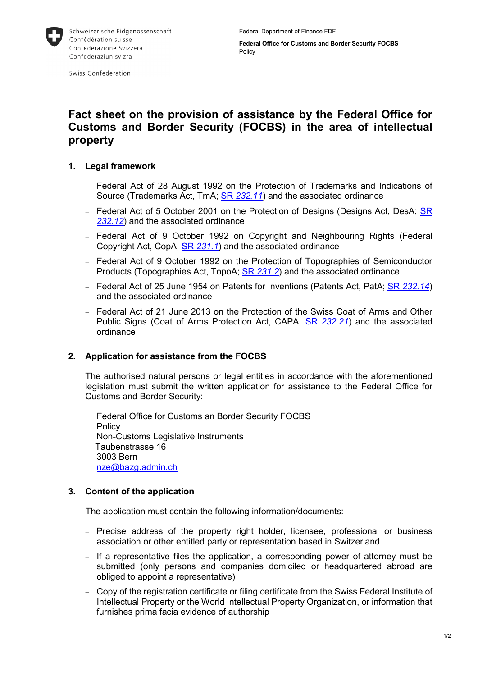

Swiss Confederation

# **Fact sheet on the provision of assistance by the Federal Office for Customs and Border Security (FOCBS) in the area of intellectual property**

# **1. Legal framework**

- − Federal Act of 28 August 1992 on the Protection of Trademarks and Indications of Source (Trademarks Act, TmA; SR *[232.11](https://www.admin.ch/opc/en/classified-compilation/19920213/index.html)*) and the associated ordinance
- − Federal Act of 5 October 2001 on the Protection of Designs (Designs Act, DesA; [SR](https://www.admin.ch/opc/en/classified-compilation/20000457/index.html)  *[232.12](https://www.admin.ch/opc/en/classified-compilation/20000457/index.html)*) and the associated ordinance
- − Federal Act of 9 October 1992 on Copyright and Neighbouring Rights (Federal Copyright Act, CopA; SR *[231.1](https://www.admin.ch/opc/en/classified-compilation/19920251/index.html)*) and the associated ordinance
- − Federal Act of 9 October 1992 on the Protection of Topographies of Semiconductor Products (Topographies Act, TopoA; SR *[231.2](http://www.admin.ch/ch/d/sr/c231_2.html)*) and the associated ordinance
- − Federal Act of 25 June 1954 on Patents for Inventions (Patents Act, PatA; SR *[232.14](https://www.admin.ch/opc/en/classified-compilation/19540108/index.html)*) and the associated ordinance
- − Federal Act of 21 June 2013 on the Protection of the Swiss Coat of Arms and Other Public Signs (Coat of Arms Protection Act, CAPA; SR *[232.21](https://www.admin.ch/opc/en/classified-compilation/20091656/index.html)*) and the associated ordinance

### **2. Application for assistance from the FOCBS**

The authorised natural persons or legal entities in accordance with the aforementioned legislation must submit the written application for assistance to the Federal Office for Customs and Border Security:

Federal Office for Customs an Border Security FOCBS **Policy** Non-Customs Legislative Instruments Taubenstrasse 16 3003 Bern [nze@bazg.admin.ch](mailto:nze@bazg.admin.ch)

### **3. Content of the application**

The application must contain the following information/documents:

- − Precise address of the property right holder, licensee, professional or business association or other entitled party or representation based in Switzerland
- − If a representative files the application, a corresponding power of attorney must be submitted (only persons and companies domiciled or headquartered abroad are obliged to appoint a representative)
- − Copy of the registration certificate or filing certificate from the Swiss Federal Institute of Intellectual Property or the World Intellectual Property Organization, or information that furnishes prima facia evidence of authorship